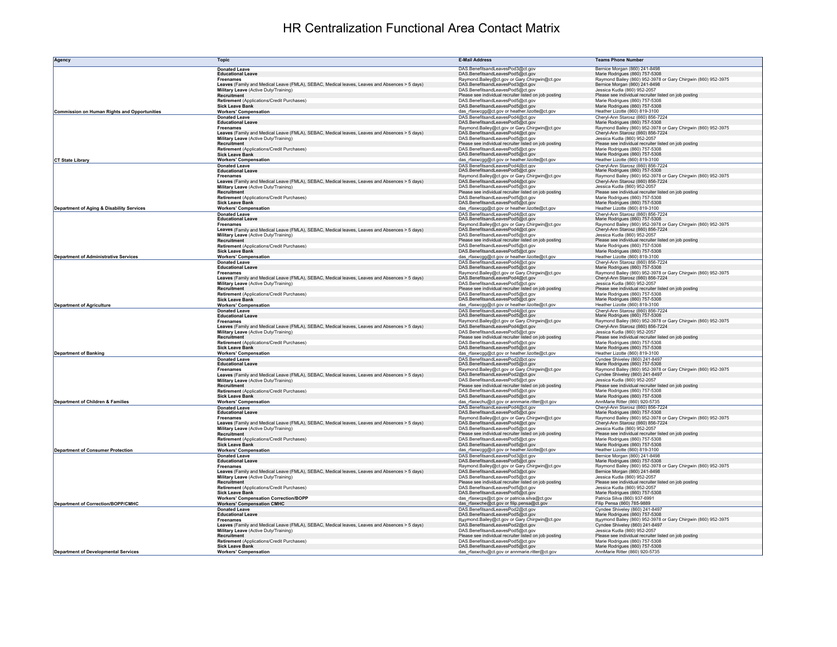## HR Centralization Functional Area Contact Matrix

| Agency                                       | <b>Topic</b>                                                                                                                           | <b>E-Mail Address</b>                                                                     | <b>Teams Phone Number</b>                                                                          |
|----------------------------------------------|----------------------------------------------------------------------------------------------------------------------------------------|-------------------------------------------------------------------------------------------|----------------------------------------------------------------------------------------------------|
|                                              | <b>Donated Leave</b>                                                                                                                   | DAS.BenefitsandLeavesPod3@ct.gov                                                          | Bernice Morgan (860) 241-8498                                                                      |
|                                              | <b>Educational Leave</b><br><b>Freenames</b>                                                                                           | DAS.BenefitsandLeavesPod5@ct.gov<br>Raymond.Bailey@ct.gov or Gary.Chirgwin@ct.gov         | Marie Rodrigues (860) 757-5308<br>Raymond Bailey (860) 952-3978 or Gary Chirgwin (860) 952-3975    |
|                                              | Leaves (Family and Medical Leave (FMLA), SEBAC, Medical leaves, Leaves and Absences > 5 days)                                          | DAS.BenefitsandLeavesPod3@ct.gov                                                          | Bernice Morgan (860) 241-8498                                                                      |
|                                              | Military Leave (Active Duty/Training)                                                                                                  | DAS.BenefitsandLeavesPod5@ct.gov                                                          | Jessica Kudla (860) 952-2057                                                                       |
|                                              | Recruitment<br>Retirement (Applications/Credit Purchases)                                                                              | Please see individual recruiter listed on job posting<br>DAS.BenefitsandLeavesPod5@ct.gov | Please see individual recruiter listed on job posting<br>Marie Rodrigues (860) 757-5308            |
|                                              | <b>Sick Leave Bank</b>                                                                                                                 | DAS.BenefitsandLeavesPod5@ct.gov                                                          | Marie Rodrigues (860) 757-5308                                                                     |
| Commission on Human Rights and Opportunities | <b>Workers' Compensation</b>                                                                                                           | das_rfaxwcgg@ct.gov or heather.lizotte@ct.gov                                             | Heather Lizotte (860) 819-3100                                                                     |
|                                              | <b>Donated Leave</b><br><b>Educational Leave</b>                                                                                       | DAS.BenefitsandLeavesPod4@ct.gov<br>DAS.BenefitsandLeavesPod5@ct.gov                      | Cheryl-Ann Starosz (860) 856-7224<br>Marie Rodrigues (860) 757-5308                                |
|                                              | <b>Freenames</b>                                                                                                                       | Raymond.Bailey@ct.gov or Gary.Chirgwin@ct.gov                                             | Raymond Bailey (860) 952-3978 or Gary Chirgwin (860) 952-3975                                      |
|                                              | Leaves (Family and Medical Leave (FMLA), SEBAC, Medical leaves, Leaves and Absences > 5 days)<br>Military Leave (Active Duty/Training) | DAS.BenefitsandLeavesPod4@ct.gov<br>DAS.BenefitsandLeavesPod5@ct.gov                      | Cheryl-Ann Starosz (860) 856-7224<br>Jessica Kudla (860) 952-2057                                  |
|                                              | Recruitment                                                                                                                            | Please see individual recruiter listed on job posting                                     | Please see individual recruiter listed on job posting                                              |
|                                              | Retirement (Applications/Credit Purchases)                                                                                             | DAS.BenefitsandLeavesPod5@ct.gov                                                          | Marie Rodrigues (860) 757-5308                                                                     |
| <b>CT State Library</b>                      | <b>Sick Leave Bank</b><br><b>Workers' Compensation</b>                                                                                 | DAS.BenefitsandLeavesPod5@ct.gov<br>das_rfaxwcgg@ct.gov or heather.lizotte@ct.gov         | Marie Rodrigues (860) 757-5308<br>Heather Lizotte (860) 819-3100                                   |
|                                              | <b>Donated Leave</b>                                                                                                                   | DAS.BenefitsandLeavesPod4@ct.gov                                                          | Cheryl-Ann Starosz (860) 856-7224                                                                  |
|                                              | <b>Educational Leave</b>                                                                                                               | DAS.BenefitsandLeavesPod5@ct.gov                                                          | Marie Rodrigues (860) 757-5308                                                                     |
|                                              | <b>Freenames</b><br>Leaves (Family and Medical Leave (FMLA), SEBAC, Medical leaves, Leaves and Absences > 5 days)                      | Raymond.Bailey@ct.gov or Gary.Chirgwin@ct.gov<br>DAS.BenefitsandLeavesPod4@ct.gov         | Raymond Bailey (860) 952-3978 or Gary Chirgwin (860) 952-3975<br>Chervl-Ann Starosz (860) 856-7224 |
|                                              | Military Leave (Active Duty/Training)                                                                                                  | DAS.BenefitsandLeavesPod5@ct.gov                                                          | Jessica Kudla (860) 952-2057                                                                       |
|                                              | Recruitment<br>Retirement (Applications/Credit Purchases)                                                                              | Please see individual recruiter listed on job posting<br>DAS.BenefitsandLeavesPod5@ct.gov | Please see individual recruiter listed on job posting<br>Marie Rodrigues (860) 757-5308            |
|                                              | <b>Sick Leave Bank</b>                                                                                                                 | DAS.BenefitsandLeavesPod5@ct.gov                                                          | Marie Rodrigues (860) 757-5308                                                                     |
| Department of Aging & Disability Services    | <b>Workers' Compensation</b>                                                                                                           | das_rfaxwcgg@ct.gov or heather.lizotte@ct.gov                                             | Heather Lizotte (860) 819-3100                                                                     |
|                                              | <b>Donated Leave</b><br><b>Educational Leave</b>                                                                                       | DAS.BenefitsandLeavesPod4@ct.gov<br>DAS.BenefitsandLeavesPod5@ct.gov                      | Cheryl-Ann Starosz (860) 856-7224<br>Marie Rodrigues (860) 757-5308                                |
|                                              | <b>Freenames</b>                                                                                                                       | Raymond.Bailey@ct.gov or Gary.Chirgwin@ct.gov                                             | Raymond Bailey (860) 952-3978 or Gary Chirgwin (860) 952-3975                                      |
|                                              | Leaves (Family and Medical Leave (FMLA), SEBAC, Medical leaves, Leaves and Absences > 5 days)                                          | DAS.BenefitsandLeavesPod4@ct.gov                                                          | Cheryl-Ann Starosz (860) 856-7224                                                                  |
|                                              | Military Leave (Active Duty/Training)<br>Recruitment                                                                                   | DAS.BenefitsandLeavesPod5@ct.gov<br>Please see individual recruiter listed on job posting | Jessica Kudla (860) 952-2057<br>Please see individual recruiter listed on job posting              |
|                                              | Retirement (Applications/Credit Purchases)                                                                                             | DAS.BenefitsandLeavesPod5@ct.gov                                                          | Marie Rodrigues (860) 757-5308                                                                     |
| <b>Department of Administrative Services</b> | <b>Sick Leave Bank</b>                                                                                                                 | DAS.BenefitsandLeavesPod5@ct.gov                                                          | Marie Rodrigues (860) 757-5308<br>Heather Lizotte (860) 819-3100                                   |
|                                              | <b>Workers' Compensation</b><br><b>Donated Leave</b>                                                                                   | das_rfaxwcgg@ct.gov or heather.lizotte@ct.gov<br>DAS.BenefitsandLeavesPod4@ct.gov         | Cheryl-Ann Starosz (860) 856-7224                                                                  |
|                                              | <b>Educational Leave</b>                                                                                                               | DAS.BenefitsandLeavesPod5@ct.gov                                                          | Marie Rodrigues (860) 757-5308                                                                     |
|                                              | <b>Freenames</b><br>Leaves (Family and Medical Leave (FMLA), SEBAC, Medical leaves, Leaves and Absences > 5 days)                      | Raymond.Bailey@ct.gov or Gary.Chirgwin@ct.gov<br>DAS.BenefitsandLeavesPod4@ct.gov         | Raymond Bailey (860) 952-3978 or Gary Chirgwin (860) 952-3975<br>Cheryl-Ann Starosz (860) 856-7224 |
|                                              | Military Leave (Active Duty/Training)                                                                                                  | DAS.BenefitsandLeavesPod5@ct.gov                                                          | Jessica Kudla (860) 952-2057                                                                       |
|                                              | Recruitment                                                                                                                            | Please see individual recruiter listed on job posting                                     | Please see individual recruiter listed on job posting                                              |
|                                              | Retirement (Applications/Credit Purchases)<br><b>Sick Leave Bank</b>                                                                   | DAS.BenefitsandLeavesPod5@ct.gov<br>DAS.BenefitsandLeavesPod5@ct.gov                      | Marie Rodrigues (860) 757-5308<br>Marie Rodrigues (860) 757-5308                                   |
| <b>Department of Agriculture</b>             | <b>Workers' Compensation</b>                                                                                                           | das_rfaxwcgg@ct.gov or heather.lizotte@ct.gov                                             | Heather Lizotte (860) 819-3100                                                                     |
|                                              | <b>Donated Leave</b><br><b>Educational Leave</b>                                                                                       | DAS.BenefitsandLeavesPod4@ct.gov<br>DAS.BenefitsandLeavesPod5@ct.gov                      | Cheryl-Ann Starosz (860) 856-7224<br>Marie Rodrigues (860) 757-5308                                |
|                                              | <b>Freenames</b>                                                                                                                       | Raymond.Bailey@ct.gov or Gary.Chirgwin@ct.gov                                             | Raymond Bailey (860) 952-3978 or Gary Chirgwin (860) 952-3975                                      |
|                                              | Leaves (Family and Medical Leave (FMLA), SEBAC, Medical leaves, Leaves and Absences > 5 days)<br>Military Leave (Active Duty/Training) | DAS.BenefitsandLeavesPod4@ct.gov<br>DAS.BenefitsandLeavesPod5@ct.gov                      | Cheryl-Ann Starosz (860) 856-7224<br>Jessica Kudla (860) 952-2057                                  |
|                                              | Recruitment                                                                                                                            | Please see individual recruiter listed on job posting                                     | Please see individual recruiter listed on job posting                                              |
|                                              | Retirement (Applications/Credit Purchases)                                                                                             | DAS.BenefitsandLeavesPod5@ct.gov                                                          | Marie Rodrigues (860) 757-5308                                                                     |
| <b>Department of Banking</b>                 | <b>Sick Leave Bank</b><br><b>Workers' Compensation</b>                                                                                 | DAS.BenefitsandLeavesPod5@ct.gov<br>das_rfaxwcgg@ct.gov or heather.lizotte@ct.gov         | Marie Rodrigues (860) 757-5308<br>Heather Lizotte (860) 819-3100                                   |
|                                              | <b>Donated Leave</b>                                                                                                                   | DAS.BenefitsandLeavesPod2@ct.gov                                                          | Cyndee Shiveley (860) 241-8497                                                                     |
|                                              | <b>Educational Leave</b>                                                                                                               | DAS.BenefitsandLeavesPod5@ct.gov                                                          | Marie Rodrigues (860) 757-5308                                                                     |
|                                              | <b>Freenames</b><br>Leaves (Family and Medical Leave (FMLA), SEBAC, Medical leaves, Leaves and Absences > 5 days)                      | Raymond.Bailey@ct.gov or Gary.Chirgwin@ct.gov<br>DAS.BenefitsandLeavesPod2@ct.gov         | Raymond Bailey (860) 952-3978 or Gary Chirgwin (860) 952-3975<br>Cyndee Shiveley (860) 241-8497    |
|                                              | Military Leave (Active Duty/Training)                                                                                                  | DAS.BenefitsandLeavesPod5@ct.gov                                                          | Jessica Kudla (860) 952-2057                                                                       |
|                                              | Recruitment<br>Retirement (Applications/Credit Purchases)                                                                              | Please see individual recruiter listed on job posting<br>DAS.BenefitsandLeavesPod5@ct.gov | Please see individual recruiter listed on job posting<br>Marie Rodrigues (860) 757-5308            |
|                                              | <b>Sick Leave Bank</b>                                                                                                                 | DAS.BenefitsandLeavesPod5@ct.gov                                                          | Marie Rodrigues (860) 757-5308                                                                     |
| <b>Department of Children &amp; Families</b> | <b>Workers' Compensation</b>                                                                                                           | das rfaxwchu@ct.gov or annmarie.ritter@ct.gov                                             | AnnMarie Ritter (860) 920-5735                                                                     |
|                                              | <b>Donated Leave</b><br><b>Educational Leave</b>                                                                                       | DAS.BenefitsandLeavesPod4@ct.gov<br>DAS.BenefitsandLeavesPod5@ct.gov                      | Cheryl-Ann Starosz (860) 856-7224<br>Marie Rodrigues (860) 757-5308                                |
|                                              | <b>Freenames</b>                                                                                                                       | Raymond.Bailey@ct.gov or Gary.Chirgwin@ct.gov                                             | Raymond Bailey (860) 952-3978 or Gary Chirgwin (860) 952-3975                                      |
|                                              | Leaves (Family and Medical Leave (FMLA), SEBAC, Medical leaves, Leaves and Absences > 5 days)                                          | DAS.BenefitsandLeavesPod4@ct.gov<br>DAS.BenefitsandLeavesPod5@ct.gov                      | Cheryl-Ann Starosz (860) 856-7224<br>Jessica Kudla (860) 952-2057                                  |
|                                              | Military Leave (Active Duty/Training)<br>Recruitment                                                                                   | Please see individual recruiter listed on job posting                                     | Please see individual recruiter listed on job posting                                              |
|                                              | Retirement (Applications/Credit Purchases)                                                                                             | DAS.BenefitsandLeavesPod5@ct.gov                                                          | Marie Rodrigues (860) 757-5308                                                                     |
| <b>Department of Consumer Protection</b>     | <b>Sick Leave Bank</b><br><b>Workers' Compensation</b>                                                                                 | DAS.BenefitsandLeavesPod5@ct.gov<br>das_rfaxwcgg@ct.gov or heather.lizotte@ct.gov         | Marie Rodrigues (860) 757-5308<br>Heather Lizotte (860) 819-3100                                   |
|                                              | <b>Donated Leave</b>                                                                                                                   | DAS.BenefitsandLeavesPod3@ct.gov                                                          | Bernice Morgan (860) 241-8498                                                                      |
|                                              | <b>Educational Leave</b>                                                                                                               | DAS.BenefitsandLeavesPod5@ct.gov                                                          | Marie Rodrigues (860) 757-5308                                                                     |
|                                              | <b>Freenames</b><br>Leaves (Family and Medical Leave (FMLA), SEBAC, Medical leaves, Leaves and Absences > 5 days)                      | Raymond.Bailey@ct.gov or Gary.Chirgwin@ct.gov<br>DAS.BenefitsandLeavesPod3@ct.gov         | Raymond Bailey (860) 952-3978 or Gary Chirgwin (860) 952-3975<br>Bernice Morgan (860) 241-8498     |
|                                              | Military Leave (Active Duty/Training)                                                                                                  | DAS.BenefitsandLeavesPod5@ct.gov                                                          | Jessica Kudla (860) 952-2057                                                                       |
|                                              | Recruitment<br>Retirement (Applications/Credit Purchases)                                                                              | Please see individual recruiter listed on job posting<br>DAS.BenefitsandLeavesPod5@ct.gov | Please see individual recruiter listed on job posting<br>Jessica Kudla (860) 952-2057              |
|                                              | <b>Sick Leave Bank</b>                                                                                                                 | DAS.BenefitsandLeavesPod5@ct.gov                                                          | Marie Rodrigues (860) 757-5308                                                                     |
| Department of Correction/BOPP/CMHC           | <b>Workers' Compensation Correction/BOPP</b><br><b>Workers' Compensation CMHC</b>                                                      | das_rfaxwcps@ct.gov or patricia.silva@ct.gov<br>das_rfaxwche@ct.gov or filip.pensa@ct.gov | Patricia Silva (860) 937-6991<br>Filip Pensa (860) 785-9889                                        |
|                                              | <b>Donated Leave</b>                                                                                                                   | DAS.BenefitsandLeavesPod2@ct.gov                                                          | Cyndee Shiveley (860) 241-8497                                                                     |
|                                              | <b>Educational Leave</b>                                                                                                               | DAS.BenefitsandLeavesPod5@ct.gov                                                          | Marie Rodrigues (860) 757-5308                                                                     |
|                                              | <b>Freenames</b><br>Leaves (Family and Medical Leave (FMLA), SEBAC, Medical leaves, Leaves and Absences > 5 days)                      | Raymond.Bailey@ct.gov or Gary.Chirgwin@ct.gov<br>DAS.BenefitsandLeavesPod2@ct.gov         | Raymond Bailey (860) 952-3978 or Gary Chirgwin (860) 952-3975<br>Cyndee Shiveley (860) 241-8497    |
|                                              | Military Leave (Active Duty/Training)                                                                                                  | DAS.BenefitsandLeavesPod5@ct.gov                                                          | Jessica Kudla (860) 952-2057                                                                       |
|                                              | Recruitment<br>Retirement (Applications/Credit Purchases)                                                                              | Please see individual recruiter listed on job posting                                     | Please see individual recruiter listed on job posting                                              |
|                                              | <b>Sick Leave Bank</b>                                                                                                                 | DAS.BenefitsandLeavesPod5@ct.gov<br>DAS.BenefitsandLeavesPod5@ct.gov                      | Marie Rodrigues (860) 757-5308<br>Marie Rodrigues (860) 757-5308                                   |
| <b>Department of Developmental Services</b>  | <b>Workers' Compensation</b>                                                                                                           | das_rfaxwchu@ct.gov or annmarie.ritter@ct.gov                                             | AnnMarie Ritter (860) 920-5735                                                                     |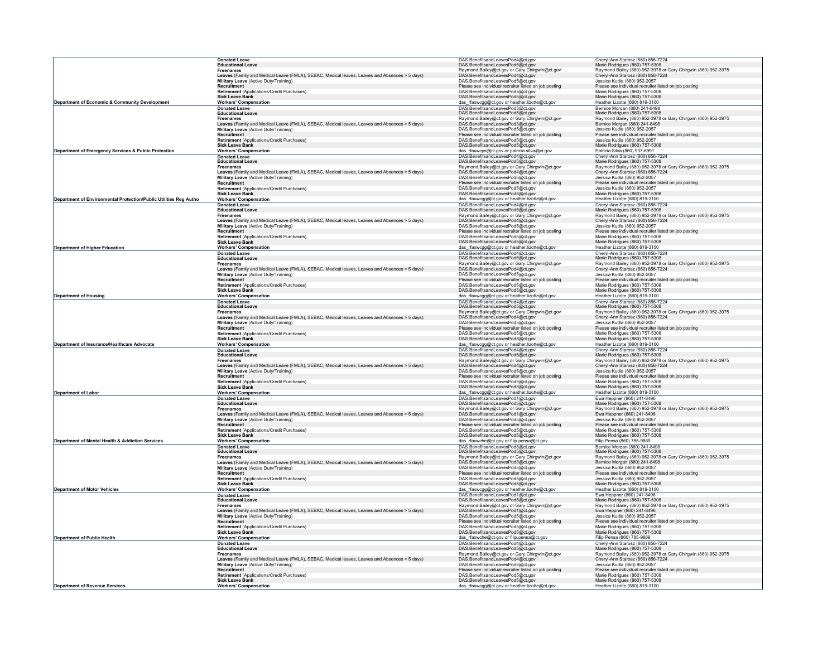|                                                                   | <b>Donated Leave</b><br>Educational Leave                                                                         | DAS.BenefitsandLeavesPod4@ct.gov<br>DAS.BenefitsandLeavesPod5@ct.gov                      |                                                                                                    |
|-------------------------------------------------------------------|-------------------------------------------------------------------------------------------------------------------|-------------------------------------------------------------------------------------------|----------------------------------------------------------------------------------------------------|
|                                                                   |                                                                                                                   |                                                                                           | Cheryl-Ann Starosz (860) 856-7224<br>Marie Rodrigues (860) 757-5308                                |
|                                                                   | <b>Freenames</b>                                                                                                  | Raymond.Bailey@ct.gov or Gary.Chirgwin@ct.gov                                             | Raymond Bailey (860) 952-3978 or Gary Chirgwin (860) 952-3975                                      |
|                                                                   | Leaves (Family and Medical Leave (FMLA), SEBAC, Medical leaves, Leaves and Absences > 5 days)                     | DAS.BenefitsandLeavesPod4@ct.gov                                                          | Cheryl-Ann Starosz (860) 856-7224                                                                  |
|                                                                   | Military Leave (Active Duty/Training)<br><b>Recruitment</b>                                                       | DAS.BenefitsandLeavesPod5@ct.gov<br>Please see individual recruiter listed on job posting | Jessica Kudla (860) 952-2057<br>Please see individual recruiter listed on job posting              |
|                                                                   | Retirement (Applications/Credit Purchases)                                                                        | DAS.BenefitsandLeavesPod5@ct.gov                                                          | Marie Rodrigues (860) 757-5308                                                                     |
|                                                                   | <b>Sick Leave Bank</b>                                                                                            | DAS.BenefitsandLeavesPod5@ct.gov                                                          | Marie Rodrigues (860) 757-5308                                                                     |
| Department of Economic & Community Development                    | <b>Workers' Compensation</b>                                                                                      | das_rfaxwcgg@ct.gov or heather.lizotte@ct.gov                                             | Heather Lizotte (860) 819-3100                                                                     |
|                                                                   | <b>Donated Leave</b>                                                                                              | DAS.BenefitsandLeavesPod3@ct.gov<br>DAS.BenefitsandLeavesPod5@ct.gov                      | Bernice Morgan (860) 241-8498                                                                      |
|                                                                   | <b>Educational Leave</b>                                                                                          |                                                                                           | Marie Rodrigues (860) 757-5308                                                                     |
|                                                                   | <b>Freenames</b><br>Leaves (Family and Medical Leave (FMLA), SEBAC, Medical leaves, Leaves and Absences > 5 days) | Raymond.Bailey@ct.gov or Gary.Chirgwin@ct.gov<br>DAS.BenefitsandLeavesPod3@ct.gov         | Raymond Bailey (860) 952-3978 or Gary Chirgwin (860) 952-3975<br>Bernice Morgan (860) 241-8498     |
|                                                                   | Military Leave (Active Duty/Training)                                                                             | DAS.BenefitsandLeavesPod5@ct.gov                                                          | Jessica Kudla (860) 952-2057                                                                       |
|                                                                   | Recruitment                                                                                                       | Please see individual recruiter listed on iob posting                                     | Please see individual recruiter listed on job posting                                              |
|                                                                   | Retirement (Applications/Credit Purchases)                                                                        | DAS.BenefitsandLeavesPod5@ct.gov                                                          | Jessica Kudla (860) 952-2057                                                                       |
|                                                                   | <b>Sick Leave Bank</b>                                                                                            | DAS.BenefitsandLeavesPod5@ct.gov                                                          | Marie Rodrigues (860) 757-5308                                                                     |
| Department of Emergency Services & Public Protection              | <b>Workers' Compensation</b>                                                                                      | das_rfaxwcps@ct.gov or patricia.silva@ct.gov                                              | Patricia Silva (860) 937-6991                                                                      |
|                                                                   | <b>Donated Leave</b><br><b>Educational Leav</b>                                                                   | DAS.BenefitsandLeavesPod4@ct.gov<br>DAS.BenefitsandLeavesPod5@ct.gov                      | Cheryl-Ann Starosz (860) 856-7224<br>Marie Rodrigues (860) 757-5308                                |
|                                                                   | <b>Freenames</b>                                                                                                  |                                                                                           | Raymond Bailey (860) 952-3978 or Gary Chirgwin (860) 952-3975                                      |
|                                                                   | Leaves (Family and Medical Leave (FMLA), SEBAC, Medical leaves, Leaves and Absences > 5 days)                     | Raymond.Bailey@ct.gov or Gary.Chirgwin@ct.gov<br>DAS.BenefitsandLeavesPod4@ct.gov         | Cheryl-Ann Starosz (860) 856-7224                                                                  |
|                                                                   | Military Leave (Active Duty/Training)                                                                             | DAS.BenefitsandLeavesPod5@ct.gov                                                          | Jessica Kudla (860) 952-2057                                                                       |
|                                                                   | Recruitment                                                                                                       | Please see individual recruiter listed on job posting                                     | Please see individual recruiter listed on job posting                                              |
|                                                                   | Retirement (Applications/Credit Purchases)<br><b>Sick Leave Bank</b>                                              | DAS.BenefitsandLeavesPod5@ct.gov<br>DAS.BenefitsandLeavesPod5@ct.gov                      | Jessica Kudla (860) 952-2057<br>Marie Rodrigues (860) 757-5308                                     |
| Department of Environmental Protection/Public Utilities Reg Autho | <b>Workers' Compensation</b>                                                                                      | das_rfaxwcgg@ct.gov or heather.lizotte@ct.gov                                             | Heather Lizotte (860) 819-3100                                                                     |
|                                                                   | <b>Donated Leave</b>                                                                                              | DAS.BenefitsandLeavesPod4@ct.gov                                                          | Cheryl-Ann Starosz (860) 856-7224                                                                  |
|                                                                   | <b>Educational Leave</b>                                                                                          | DAS.BenefitsandLeavesPod5@ct.gov                                                          | Marie Rodrigues (860) 757-5308                                                                     |
|                                                                   | <b>Freenames</b>                                                                                                  | Raymond.Bailey@ct.gov or Gary.Chirgwin@ct.gov                                             | Raymond Bailey (860) 952-3978 or Gary Chirgwin (860) 952-3975                                      |
|                                                                   | Leaves (Family and Medical Leave (FMLA), SEBAC, Medical leaves, Leaves and Absences > 5 days)                     | DAS.BenefitsandLeavesPod4@ct.gov                                                          | Cheryl-Ann Starosz (860) 856-7224                                                                  |
|                                                                   | Military Leave (Active Duty/Training)<br>Recruitment                                                              | DAS.BenefitsandLeavesPod5@ct.gov<br>Please see individual recruiter listed on job posting | Jessica Kudla (860) 952-2057<br>Please see individual recruiter listed on job posting              |
|                                                                   | Retirement (Applications/Credit Purchases)                                                                        | DAS.BenefitsandLeavesPod5@ct.gov                                                          | Marie Rodrigues (860) 757-5308                                                                     |
|                                                                   | <b>Sick Leave Bank</b>                                                                                            | DAS.BenefitsandLeavesPod5@ct.gov                                                          | Marie Rodrigues (860) 757-5308                                                                     |
| <b>Department of Higher Education</b>                             | <b>Workers' Compensation</b>                                                                                      | das_rfaxwcgg@ct.gov or heather.lizotte@ct.gov                                             | Heather Lizotte (860) 819-3100                                                                     |
|                                                                   | <b>Donated Leave</b>                                                                                              | DAS.BenefitsandLeavesPod4@ct.gov                                                          | Cheryl-Ann Starosz (860) 856-7224                                                                  |
|                                                                   | <b>Educational Leave</b>                                                                                          | DAS.BenefitsandLeavesPod5@ct.gov                                                          | Marie Rodrigues (860) 757-5308                                                                     |
|                                                                   | Freenames<br>Leaves (Family and Medical Leave (FMLA), SEBAC, Medical leaves, Leaves and Absences > 5 days)        | Raymond.Bailey@ct.gov or Gary.Chirgwin@ct.gov<br>DAS.BenefitsandLeavesPod4@ct.gov         | Raymond Bailey (860) 952-3978 or Gary Chirgwin (860) 952-3975<br>Cheryl-Ann Starosz (860) 856-7224 |
|                                                                   | Military Leave (Active Duty/Training)                                                                             | DAS.BenefitsandLeavesPod5@ct.gov                                                          | Jessica Kudla (860) 952-2057                                                                       |
|                                                                   | <b>Recruitment</b>                                                                                                | Please see individual recruiter listed on job posting                                     | Please see individual recruiter listed on job posting                                              |
|                                                                   | Retirement (Applications/Credit Purchases)                                                                        | DAS.BenefitsandLeavesPod5@ct.gov                                                          | Marie Rodrigues (860) 757-5308                                                                     |
|                                                                   | <b>Sick Leave Bank</b>                                                                                            | DAS.BenefitsandLeavesPod5@ct.gov                                                          | Marie Rodrigues (860) 757-5308                                                                     |
| <b>Department of Housing</b>                                      | <b>Workers' Compensation</b>                                                                                      | das_rfaxwcgg@ct.gov or heather.lizotte@ct.gov<br>DAS.BenefitsandLeavesPod4@ct.gov         | Heather Lizotte (860) 819-3100                                                                     |
|                                                                   | <b>Donated Leave</b><br><b>Educational Leave</b>                                                                  | DAS.BenefitsandLeavesPod5@ct.gov                                                          | Cheryl-Ann Starosz (860) 856-7224<br>Marie Rodrigues (860) 757-5308                                |
|                                                                   | <b>Freenames</b>                                                                                                  | Raymond.Bailey@ct.gov or Gary.Chirgwin@ct.gov                                             | Raymond Bailey (860) 952-3978 or Gary Chirgwin (860) 952-3975                                      |
|                                                                   | Leaves (Family and Medical Leave (FMLA), SEBAC, Medical leaves, Leaves and Absences > 5 days)                     | DAS.BenefitsandLeavesPod4@ct.gov                                                          | Cheryl-Ann Starosz (860) 856-7224                                                                  |
|                                                                   | Military Leave (Active Duty/Training)                                                                             | DAS.BenefitsandLeavesPod5@ct.gov                                                          | Jessica Kudla (860) 952-2057                                                                       |
|                                                                   | Recruitmen                                                                                                        | Please see individual recruiter listed on job posting                                     | Please see individual recruiter listed on job posting                                              |
|                                                                   | Retirement (Applications/Credit Purchases)<br><b>Sick Leave Bank</b>                                              | DAS.BenefitsandLeavesPod5@ct.gov<br>DAS.BenefitsandLeavesPod5@ct.gov                      | Marie Rodrigues (860) 757-5308<br>Marie Rodrigues (860) 757-5308                                   |
| Department of Insurance/Healthcare Advocate                       | <b>Workers' Compensation</b>                                                                                      | das_rfaxwcgg@ct.gov or heather.lizotte@ct.gov                                             | Heather Lizotte (860) 819-3100                                                                     |
|                                                                   | <b>Donated Leave</b>                                                                                              | DAS.BenefitsandLeavesPod4@ct.gov                                                          | Cheryl-Ann Starosz (860) 856-7224                                                                  |
|                                                                   | <b>Educational Leave</b>                                                                                          | DAS.BenefitsandLeavesPod5@ct.gov                                                          | Marie Rodrigues (860) 757-5308                                                                     |
|                                                                   | <b>Freenames</b>                                                                                                  | Raymond.Bailey@ct.gov or Gary.Chirgwin@ct.gov                                             | Raymond Bailey (860) 952-3978 or Gary Chirgwin (860) 952-3975                                      |
|                                                                   | Leaves (Family and Medical Leave (FMLA), SEBAC, Medical leaves, Leaves and Absences > 5 days)                     | DAS.BenefitsandLeavesPod4@ct.gov                                                          | Cheryl-Ann Starosz (860) 856-7224                                                                  |
|                                                                   | Military Leave (Active Duty/Training)<br>Recruitment                                                              | DAS.BenefitsandLeavesPod5@ct.gov<br>Please see individual recruiter listed on job posting | Jessica Kudla (860) 952-2057<br>Please see individual recruiter listed on job posting              |
|                                                                   | Retirement (Applications/Credit Purchases)                                                                        | DAS.BenefitsandLeavesPod5@ct.gov                                                          | Marie Rodrigues (860) 757-5308                                                                     |
|                                                                   | <b>Sick Leave Bank</b>                                                                                            | DAS.BenefitsandLeavesPod5@ct.gov                                                          | Marie Rodrigues (860) 757-5308                                                                     |
| Department of Labor                                               | <b>Workers' Compensation</b>                                                                                      | das_rfaxwcgg@ct.gov or heather.lizotte@ct.gov                                             | Heather Lizotte (860) 819-3100                                                                     |
|                                                                   | <b>Donated Leave</b><br>Educational Leave                                                                         | DAS.BenefitsandLeavesPod1@ct.gov                                                          | Ewa Hennner (860) 241-8496                                                                         |
|                                                                   |                                                                                                                   | DAS.BenefitsandLeavesPod5@ct.gov                                                          | Marie Rodrigues (860) 757-5308                                                                     |
|                                                                   | <b>Freenames</b><br>Leaves (Family and Medical Leave (FMLA), SEBAC, Medical leaves, Leaves and Absences > 5 days) | Raymond.Bailey@ct.gov or Gary.Chirgwin@ct.gov<br>DAS.BenefitsandLeavesPod1@ct.gov         | Raymond Bailey (860) 952-3978 or Gary Chirgwin (860) 952-3975<br>Ewa Heppner (860) 241-8496        |
|                                                                   | Military Leave (Active Duty/Training)                                                                             | DAS.BenefitsandLeavesPod5@ct.gov                                                          | Jessica Kudla (860) 952-2057                                                                       |
|                                                                   | <b>Recruitment</b>                                                                                                | Please see individual recruiter listed on job posting                                     | Please see individual recruiter listed on job posting                                              |
|                                                                   | <b>Retirement (Applications/Credit Purchases)</b>                                                                 | DAS.BenefitsandLeavesPod5@ct.gov                                                          | Marie Rodrigues (860) 757-5308                                                                     |
|                                                                   | <b>Sick Leave Bank</b>                                                                                            | DAS.BenefitsandLeavesPod5@ct.gov                                                          | Marie Rodrigues (860) 757-5308                                                                     |
| Department of Mental Health & Addiction Services                  | <b>Workers' Compensation</b>                                                                                      | das_rfaxwche@ct.gov or filip.pensa@ct.gov                                                 | Filip Pensa (860) 785-9889                                                                         |
|                                                                   | <b>Donated Leave</b><br><b>Educational Leave</b>                                                                  | DAS.BenefitsandLeavesPod3@ct.gov<br>DAS.BenefitsandLeavesPod5@ct.gov                      | Bernice Morgan (860) 241-8498<br>Marie Rodrigues (860) 757-5308                                    |
|                                                                   | <b>Freenames</b>                                                                                                  | Raymond.Bailey@ct.gov or Gary.Chirgwin@ct.gov                                             | Raymond Bailey (860) 952-3978 or Gary Chirgwin (860) 952-3975                                      |
|                                                                   | Leaves (Family and Medical Leave (FMLA), SEBAC, Medical leaves, Leaves and Absences > 5 days)                     | DAS.BenefitsandLeavesPod3@ct.gov                                                          | Bernice Morgan (860) 241-8498                                                                      |
|                                                                   | Military Leave (Active Duty/Training)                                                                             | DAS.BenefitsandLeavesPod5@ct.gov                                                          | Jessica Kudla (860) 952-2057                                                                       |
|                                                                   | Recruitment                                                                                                       | Please see individual recruiter listed on job posting                                     | Please see individual recruiter listed on job posting                                              |
|                                                                   | Retirement (Applications/Credit Purchases)<br><b>Sick Leave Bank</b>                                              | DAS.BenefitsandLeavesPod5@ct.gov<br>DAS.BenefitsandLeavesPod5@ct.gov                      | Jessica Kudla (860) 952-2057<br>Marie Rodrigues (860) 757-5308                                     |
| <b>Department of Motor Vehicles</b>                               | <b>Workers' Compensation</b>                                                                                      | das_rfaxwcgg@ct.gov or heather.lizotte@ct.gov                                             | Heather Lizotte (860) 819-3100                                                                     |
|                                                                   | <b>Donated Leave</b>                                                                                              |                                                                                           | Ewa Heppner (860) 241-8496                                                                         |
|                                                                   | <b>Educational Leave</b>                                                                                          | DAS.BenefitsandLeavesPod1@ct.gov<br>DAS.BenefitsandLeavesPod5@ct.gov                      | Marie Rodrigues (860) 757-5308                                                                     |
|                                                                   | <b>Freenames</b>                                                                                                  | Raymond.Bailey@ct.gov or Gary.Chirgwin@ct.gov<br>DAS.BenefitsandLeavesPod1@ct.gov         | Raymond Bailey (860) 952-3978 or Gary Chirgwin (860) 952-3975                                      |
|                                                                   | Leaves (Family and Medical Leave (FMLA), SEBAC, Medical leaves, Leaves and Absences > 5 days)                     |                                                                                           | Ewa Heppner (860) 241-8496<br>Jessica Kudla (860) 952-2057                                         |
|                                                                   | Military Leave (Active Duty/Training)                                                                             | DAS.BenefitsandLeavesPod5@ct.gov<br>Please see individual recruiter listed on job posting | Please see individual recruiter listed on job posting                                              |
|                                                                   | Recruitment<br>Retirement (Applications/Credit Purchases)                                                         | DAS.BenefitsandLeavesPod5@ct.gov                                                          | Marie Rodrigues (860) 757-5308                                                                     |
|                                                                   | <b>Sick Leave Bank</b>                                                                                            | DAS.BenefitsandLeavesPod5@ct.gov                                                          | Marie Rodrigues (860) 757-5308                                                                     |
| <b>Department of Public Health</b>                                | <b>Workers' Compensation</b>                                                                                      | das_rfaxwche@ct.gov or filip.pensa@ct.gov                                                 | Filip Pensa (860) 785-9889                                                                         |
|                                                                   | <b>Donated Leave</b>                                                                                              | DAS.BenefitsandLeavesPod4@ct.gov                                                          | Cheryl-Ann Starosz (860) 856-7224<br>Marie Rodrigues (860) 757-5308                                |
|                                                                   | <b>Educational Leave</b>                                                                                          | DAS.BenefitsandLeavesPod5@ct.gov                                                          |                                                                                                    |
|                                                                   | <b>Freenames</b><br>Leaves (Family and Medical Leave (FMLA), SEBAC, Medical leaves, Leaves and Absences > 5 days) | Raymond.Bailey@ct.gov or Gary.Chirgwin@ct.gov<br>DAS.BenefitsandLeavesPod4@ct.gov         | Raymond Bailey (860) 952-3978 or Gary Chirgwin (860) 952-3975                                      |
|                                                                   | Military Leave (Active Duty/Training)                                                                             | DAS.BenefitsandLeavesPod5@ct.gov                                                          | Cheryl-Ann Starosz (860) 856-7224<br>Jessica Kudla (860) 952-2057                                  |
|                                                                   | Recruitment                                                                                                       | Please see individual recruiter listed on job posting                                     | Please see individual recruiter listed on job posting                                              |
|                                                                   | Retirement (Applications/Credit Purchases)                                                                        | DAS.BenefitsandLeavesPod5@ct.gov                                                          | Marie Rodrigues (860) 757-5308                                                                     |
|                                                                   | <b>Sick Leave Bank</b>                                                                                            | DAS.BenefitsandLeavesPod5@ct.gov                                                          | Marie Rodrigues (860) 757-5308                                                                     |
| <b>Department of Revenue Services</b>                             | <b>Workers' Compensation</b>                                                                                      | das_rfaxwcgg@ct.gov or heather.lizotte@ct.gov                                             | Heather Lizotte (860) 819-3100                                                                     |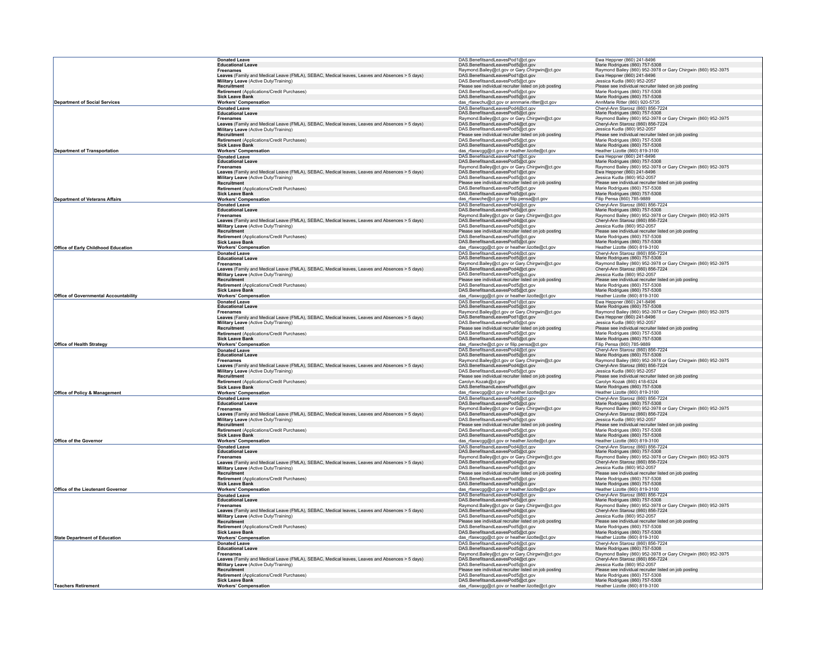|                                              | <b>Donated Leave</b>                                                                                              | DAS.BenefitsandLeavesPod1@ct.gov                                                          | Ewa Heppner (860) 241-8496                                                                         |
|----------------------------------------------|-------------------------------------------------------------------------------------------------------------------|-------------------------------------------------------------------------------------------|----------------------------------------------------------------------------------------------------|
|                                              | <b>Educational Leave</b>                                                                                          | DAS.BenefitsandLeavesPod5@ct.gov                                                          | Marie Rodrigues (860) 757-5308                                                                     |
|                                              | <b>Freenames</b>                                                                                                  | Raymond.Bailey@ct.gov or Gary.Chirgwin@ct.gov                                             | Raymond Bailey (860) 952-3978 or Gary Chirgwin (860) 952-3975                                      |
|                                              | Leaves (Family and Medical Leave (FMLA), SEBAC, Medical leaves, Leaves and Absences > 5 days)                     | DAS.BenefitsandLeavesPod1@ct.gov                                                          | Ewa Heppner (860) 241-8496                                                                         |
|                                              | Military Leave (Active Duty/Training)<br>Recruitment                                                              | DAS.BenefitsandLeavesPod5@ct.gov                                                          | Jessica Kudla (860) 952-2057                                                                       |
|                                              | Retirement (Applications/Credit Purchases)                                                                        | Please see individual recruiter listed on job posting<br>DAS.BenefitsandLeavesPod5@ct.gov | Please see individual recruiter listed on job posting<br>Marie Rodrigues (860) 757-5308            |
|                                              | <b>Sick Leave Bank</b>                                                                                            | DAS.BenefitsandLeavesPod5@ct.gov                                                          | Marie Rodrigues (860) 757-5308                                                                     |
| <b>Department of Social Services</b>         | <b>Workers' Compensation</b>                                                                                      | das_rfaxwchu@ct.gov or annmarie.ritter@ct.gov                                             | AnnMarie Ritter (860) 920-5735                                                                     |
|                                              | <b>Donated Leave</b>                                                                                              | DAS.BenefitsandLeavesPod4@ct.gov                                                          | Cheryl-Ann Starosz (860) 856-7224                                                                  |
|                                              | <b>Educational Leave</b>                                                                                          | DAS.BenefitsandLeavesPod5@ct.gov                                                          | Marie Rodrigues (860) 757-5308                                                                     |
|                                              | <b>Freenames</b>                                                                                                  | Raymond.Bailey@ct.gov or Gary.Chirgwin@ct.gov                                             | Raymond Bailey (860) 952-3978 or Gary Chirgwin (860) 952-3975                                      |
|                                              | Leaves (Family and Medical Leave (FMLA), SEBAC, Medical leaves, Leaves and Absences > 5 days)                     | DAS.BenefitsandLeavesPod4@ct.gov                                                          | Cheryl-Ann Starosz (860) 856-7224                                                                  |
|                                              | Military Leave (Active Duty/Training)                                                                             | DAS.BenefitsandLeavesPod5@ct.gov                                                          | Jessica Kudla (860) 952-2057                                                                       |
|                                              | Recruitment                                                                                                       | Please see individual recruiter listed on job posting                                     | Please see individual recruiter listed on job posting                                              |
|                                              | Retirement (Applications/Credit Purchases)                                                                        | DAS.BenefitsandLeavesPod5@ct.gov                                                          | Marie Rodrigues (860) 757-5308                                                                     |
| <b>Department of Transportation</b>          | <b>Sick Leave Bank</b>                                                                                            | DAS.BenefitsandLeavesPod5@ct.gov                                                          | Marie Rodrigues (860) 757-5308<br>Heather Lizotte (860) 819-3100                                   |
|                                              | <b>Workers' Compensation</b>                                                                                      | das_rfaxwcgg@ct.gov or heather.lizotte@ct.gov                                             |                                                                                                    |
|                                              | <b>Donated Leave</b><br><b>Educational Leave</b>                                                                  | DAS.BenefitsandLeavesPod1@ct.gov<br>DAS.BenefitsandLeavesPod5@ct.gov                      | Ewa Heppner (860) 241-8496<br>Marie Rodrigues (860) 757-5308                                       |
|                                              | <b>Freenames</b>                                                                                                  | Raymond.Bailey@ct.gov or Gary.Chirgwin@ct.gov                                             | Raymond Bailey (860) 952-3978 or Gary Chirgwin (860) 952-3975                                      |
|                                              | Leaves (Family and Medical Leave (FMLA), SEBAC, Medical leaves, Leaves and Absences > 5 days)                     | DAS.BenefitsandLeavesPod1@ct.gov                                                          | Ewa Hennner (860) 241-8496                                                                         |
|                                              | Military Leave (Active Duty/Training)                                                                             | DAS.BenefitsandLeavesPod5@ct.gov                                                          | Jessica Kudla (860) 952-2057                                                                       |
|                                              | Recruitment                                                                                                       | Please see individual recruiter listed on job posting                                     | Please see individual recruiter listed on job posting                                              |
|                                              | Retirement (Applications/Credit Purchases)<br>Sick Leave Bank                                                     | DAS.BenefitsandLeavesPod5@ct.gov                                                          | Marie Rodrigues (860) 757-5308                                                                     |
|                                              |                                                                                                                   | DAS.BenefitsandLeavesPod5@ct.gov                                                          | Marie Rodrigues (860) 757-5308                                                                     |
| <b>Department of Veterans Affairs</b>        | <b>Workers' Compensation</b>                                                                                      | das_rfaxwche@ct.gov or filip.pensa@ct.gov                                                 | Filip Pensa (860) 785-9889                                                                         |
|                                              | <b>Donated Leave</b><br><b>Educational Leave</b>                                                                  | DAS.BenefitsandLeavesPod4@ct.gov                                                          | Cheryl-Ann Starosz (860) 856-7224                                                                  |
|                                              | <b>Freenames</b>                                                                                                  | DAS.BenefitsandLeavesPod5@ct.gov<br>Raymond.Bailey@ct.gov or Gary.Chirgwin@ct.gov         | Marie Rodrigues (860) 757-5308                                                                     |
|                                              | Leaves (Family and Medical Leave (FMLA), SEBAC, Medical leaves, Leaves and Absences > 5 days)                     | DAS.BenefitsandLeavesPod4@ct.gov                                                          | Raymond Bailey (860) 952-3978 or Gary Chirgwin (860) 952-3975<br>Cheryl-Ann Starosz (860) 856-7224 |
|                                              | Military Leave (Active Duty/Training)                                                                             | DAS.BenefitsandLeavesPod5@ct.gov                                                          | Jessica Kudla (860) 952-2057                                                                       |
|                                              | <b>Recruitment</b>                                                                                                | Please see individual recruiter listed on job posting                                     | Please see individual recruiter listed on job posting                                              |
|                                              | Retirement (Applications/Credit Purchases)                                                                        | DAS.BenefitsandLeavesPod5@ct.gov                                                          | Marie Rodrigues (860) 757-5308                                                                     |
|                                              | <b>Sick Leave Bank</b>                                                                                            | DAS.BenefitsandLeavesPod5@ct.gov                                                          | Marie Rodrigues (860) 757-5308                                                                     |
| Office of Early Childhood Education          | <b>Workers' Compensation</b>                                                                                      | das_rfaxwcgg@ct.gov or heather.lizotte@ct.gov                                             | Heather Lizotte (860) 819-3100                                                                     |
|                                              | <b>Donated Leave</b>                                                                                              | DAS.BenefitsandLeavesPod4@ct.gov                                                          | Cheryl-Ann Starosz (860) 856-7224                                                                  |
|                                              | <b>Educational Leave</b>                                                                                          | DAS.BenefitsandLeavesPod5@ct.gov                                                          | Marie Rodrigues (860) 757-5308                                                                     |
|                                              | <b>Freenames</b><br>Leaves (Family and Medical Leave (FMLA), SEBAC, Medical leaves, Leaves and Absences > 5 days) | Raymond.Bailey@ct.gov or Gary.Chirgwin@ct.gov                                             | Raymond Bailey (860) 952-3978 or Gary Chirgwin (860) 952-3975                                      |
|                                              | Military Leave (Active Duty/Training)                                                                             | DAS.BenefitsandLeavesPod4@ct.gov<br>DAS.BenefitsandLeavesPod5@ct.gov                      | Cheryl-Ann Starosz (860) 856-7224<br>Jessica Kudla (860) 952-2057                                  |
|                                              | Recruitment                                                                                                       | Please see individual recruiter listed on job posting                                     | Please see individual recruiter listed on job posting                                              |
|                                              | Retirement (Applications/Credit Purchases)                                                                        | DAS.BenefitsandLeavesPod5@ct.gov                                                          | Marie Rodrigues (860) 757-5308                                                                     |
|                                              | <b>Sick Leave Bank</b>                                                                                            | DAS.BenefitsandLeavesPod5@ct.gov                                                          | Marie Rodrigues (860) 757-5308                                                                     |
| <b>Office of Governmental Accountability</b> | <b>Workers' Compensation</b>                                                                                      | das_rfaxwcgg@ct.gov or heather.lizotte@ct.gov                                             | Heather Lizotte (860) 819-3100                                                                     |
|                                              | <b>Donated Leave</b>                                                                                              | DAS.BenefitsandLeavesPod1@ct.gov                                                          | Ewa Heppner (860) 241-8496                                                                         |
|                                              | <b>Educational Leave</b>                                                                                          | DAS.BenefitsandLeavesPod5@ct.gov                                                          | Marie Rodrigues (860) 757-5308                                                                     |
|                                              | Freenames                                                                                                         | Raymond.Bailey@ct.gov or Gary.Chirgwin@ct.gov                                             | Raymond Bailey (860) 952-3978 or Gary Chirgwin (860) 952-3975                                      |
|                                              | Leaves (Family and Medical Leave (FMLA), SEBAC, Medical leaves, Leaves and Absences > 5 days)                     | DAS.BenefitsandLeavesPod1@ct.gov                                                          | Ewa Heppner (860) 241-8496                                                                         |
|                                              | Military Leave (Active Duty/Training)                                                                             | DAS.BenefitsandLeavesPod5@ct.gov                                                          | Jessica Kudla (860) 952-2057                                                                       |
|                                              | Recruitment                                                                                                       | Please see individual recruiter listed on job posting                                     | Please see individual recruiter listed on job posting                                              |
|                                              | Retirement (Applications/Credit Purchases)                                                                        | DAS.BenefitsandLeavesPod5@ct.gov                                                          | Marie Rodrigues (860) 757-5308                                                                     |
| Office of Health Strategy                    | <b>Sick Leave Bank</b><br><b>Workers' Compensation</b>                                                            | DAS.BenefitsandLeavesPod5@ct.gov<br>das_rfaxwche@ct.gov or filip.pensa@ct.gov             | Marie Rodrigues (860) 757-5308<br>Filip Pensa (860) 785-9889                                       |
|                                              | <b>Donated Leave</b>                                                                                              | DAS.BenefitsandLeavesPod4@ct.gov                                                          | Cheryl-Ann Starosz (860) 856-7224                                                                  |
|                                              | <b>Educational Leave</b>                                                                                          | DAS.BenefitsandLeavesPod5@ct.gov                                                          | Marie Rodrigues (860) 757-5308                                                                     |
|                                              | <b>Freenames</b>                                                                                                  | Raymond.Bailey@ct.gov or Gary.Chirgwin@ct.gov                                             | Raymond Bailey (860) 952-3978 or Gary Chirgwin (860) 952-3975                                      |
|                                              | Leaves (Family and Medical Leave (FMLA), SEBAC, Medical leaves, Leaves and Absences > 5 days)                     | DAS.BenefitsandLeavesPod4@ct.gov                                                          | Cheryl-Ann Starosz (860) 856-7224                                                                  |
|                                              | Military Leave (Active Duty/Training)                                                                             | DAS.BenefitsandLeavesPod5@ct.gov                                                          | Jessica Kudla (860) 952-2057                                                                       |
|                                              | Recruitment                                                                                                       | Please see individual recruiter listed on job posting                                     | Please see individual recruiter liste<br>ed on job posting                                         |
|                                              | Retirement (Applications/Credit Purchases)                                                                        | Carolyn.Kozak@ct.gov                                                                      | Carolyn Kozak (860) 418-6324                                                                       |
|                                              | <b>Sick Leave Bank</b>                                                                                            | DAS.BenefitsandLeavesPod5@ct.gov                                                          | Marie Rodrigues (860) 757-5308                                                                     |
| <b>Office of Policy &amp; Management</b>     | <b>Workers' Compensation</b>                                                                                      | das_rfaxwcgg@ct.gov or heather.lizotte@ct.gov                                             | Heather Lizotte (860) 819-3100                                                                     |
|                                              | <b>Donated Leave</b><br><b>Educational Leave</b>                                                                  | DAS.BenefitsandLeavesPod4@ct.gov<br>DAS.BenefitsandLeavesPod5@ct.gov                      | Cheryl-Ann Starosz (860) 856-7224<br>Marie Rodrigues (860) 757-5308                                |
|                                              | <b>Freenames</b>                                                                                                  | Raymond.Bailey@ct.gov or Gary.Chirgwin@ct.gov                                             | Raymond Bailey (860) 952-3978 or Gary Chirgwin (860) 952-3975                                      |
|                                              | Leaves (Family and Medical Leave (FMLA), SEBAC, Medical leaves, Leaves and Absences > 5 days)                     | DAS.BenefitsandLeavesPod4@ct.gov                                                          | Cheryl-Ann Starosz (860) 856-7224                                                                  |
|                                              | Military Leave (Active Duty/Training)                                                                             | DAS.BenefitsandLeavesPod5@ct.gov                                                          | Jessica Kudla (860) 952-2057                                                                       |
|                                              | Recruitment                                                                                                       | Please see individual recruiter listed on job posting                                     | Please see individual recruiter listed on job posting                                              |
|                                              | Retirement (Applications/Credit Purchases)                                                                        | DAS.BenefitsandLeavesPod5@ct.gov                                                          | Marie Rodrigues (860) 757-5308                                                                     |
|                                              | <b>Sick Leave Bank</b>                                                                                            | DAS.BenefitsandLeavesPod5@ct.gov                                                          | Marie Rodrigues (860) 757-5308                                                                     |
| Office of the Governor                       | <b>Workers' Compensation</b>                                                                                      | das_rfaxwcgg@ct.gov or heather.lizotte@ct.gov                                             | Heather Lizotte (860) 819-3100                                                                     |
|                                              | <b>Donated Leave</b>                                                                                              | DAS.BenefitsandLeavesPod4@ct.gov                                                          | Cheryl-Ann Starosz (860) 856-7224                                                                  |
|                                              | <b>Educational Leave</b>                                                                                          | DAS.BenefitsandLeavesPod5@ct.gov<br>Raymond.Bailey@ct.gov or Gary.Chirgwin@ct.gov         | Marie Rodrigues (860) 757-5308<br>Raymond Bailey (860) 952-3978 or Gary Chirgwin (860) 952-3975    |
|                                              | <b>Freenames</b><br>Leaves (Family and Medical Leave (FMLA), SEBAC, Medical leaves, Leaves and Absences > 5 days) | DAS.BenefitsandLeavesPod4@ct.gov                                                          | Cheryl-Ann Starosz (860) 856-7224                                                                  |
|                                              | Military Leave (Active Duty/Training)                                                                             | DAS.BenefitsandLeavesPod5@ct.gov                                                          | Jessica Kudla (860) 952-2057                                                                       |
|                                              | Recruitment                                                                                                       | Please see individual recruiter listed on job posting                                     | Please see individual recruiter listed on job posting                                              |
|                                              | Retirement (Applications/Credit Purchases)                                                                        | DAS.BenefitsandLeavesPod5@ct.gov                                                          | Marie Rodrigues (860) 757-5308                                                                     |
|                                              | <b>Sick Leave Bank</b>                                                                                            | DAS.BenefitsandLeavesPod5@ct.gov                                                          | Marie Rodrigues (860) 757-5308                                                                     |
| <b>Office of the Lieutenant Governor</b>     | <b>Workers' Compensation</b>                                                                                      | das_rfaxwcgg@ct.gov or heather.lizotte@ct.gov                                             | Heather Lizotte (860) 819-3100                                                                     |
|                                              | <b>Donated Leave</b>                                                                                              | DAS.BenefitsandLeavesPod4@ct.gov<br>DAS.BenefitsandLeavesPod5@ct.gov                      | Cheryl-Ann Starosz (860) 856-7224                                                                  |
|                                              | <b>Educational Leave</b>                                                                                          |                                                                                           | Marie Rodrigues (860) 757-5308                                                                     |
|                                              | <b>Freenames</b>                                                                                                  | Raymond.Bailey@ct.gov or Gary.Chirgwin@ct.gov<br>DAS.BenefitsandLeavesPod4@ct.gov         | Raymond Bailey (860) 952-3978 or Gary Chirgwin (860) 952-3975<br>Cheryl-Ann Starosz (860) 856-7224 |
|                                              | Leaves (Family and Medical Leave (FMLA), SEBAC, Medical leaves, Leaves and Absences > 5 days)                     | DAS.BenefitsandLeavesPod5@ct.gov                                                          | Jessica Kudla (860) 952-2057                                                                       |
|                                              | Military Leave (Active Duty/Training)<br>Recruitment                                                              | Please see individual recruiter listed on job posting                                     | Please see individual recruiter listed on job posting                                              |
|                                              | Retirement (Applications/Credit Purchases)                                                                        | DAS.BenefitsandLeavesPod5@ct.gov                                                          | Marie Rodrigues (860) 757-5308                                                                     |
|                                              | <b>Sick Leave Bank</b>                                                                                            | DAS.BenefitsandLeavesPod5@ct.gov                                                          | Marie Rodrigues (860) 757-5308                                                                     |
| <b>State Department of Education</b>         | <b>Workers' Compensation</b>                                                                                      | das_rfaxwcgg@ct.gov or heather.lizotte@ct.gov                                             | Heather Lizotte (860) 819-3100                                                                     |
|                                              | <b>Donated Leave</b>                                                                                              | DAS.BenefitsandLeavesPod4@ct.gov<br>DAS.BenefitsandLeavesPod5@ct.gov                      | Cheryl-Ann Starosz (860) 856-7224                                                                  |
|                                              | <b>Educational Leave</b>                                                                                          |                                                                                           | Marie Rodrigues (860) 757-5308                                                                     |
|                                              | <b>Freenames</b>                                                                                                  | Raymond.Bailey@ct.gov or Gary.Chirgwin@ct.gov                                             | Raymond Bailey (860) 952-3978 or Gary Chirgwin (860) 952-3975                                      |
|                                              | Leaves (Family and Medical Leave (FMLA), SEBAC, Medical leaves, Leaves and Absences > 5 days)                     | DAS.BenefitsandLeavesPod4@ct.gov                                                          | Cheryl-Ann Starosz (860) 856-7224                                                                  |
|                                              | Military Leave (Active Duty/Training)                                                                             | DAS.BenefitsandLeavesPod5@ct.gov                                                          | Jessica Kudla (860) 952-2057                                                                       |
|                                              | Recruitment                                                                                                       | Please see individual recruiter listed on job posting                                     | Please see individual recruiter listed on job posting                                              |
|                                              | Retirement (Applications/Credit Purchases)<br><b>Sick Leave Bank</b>                                              | DAS.BenefitsandLeavesPod5@ct.gov<br>DAS.BenefitsandLeavesPod5@ct.gov                      | Marie Rodrigues (860) 757-5308                                                                     |
| <b>Teachers Retirement</b>                   | <b>Workers' Compensation</b>                                                                                      |                                                                                           | Marie Rodrigues (860) 757-5308<br>Heather Lizotte (860) 819-3100                                   |
|                                              |                                                                                                                   | das_rfaxwcgg@ct.gov or heather.lizotte@ct.gov                                             |                                                                                                    |